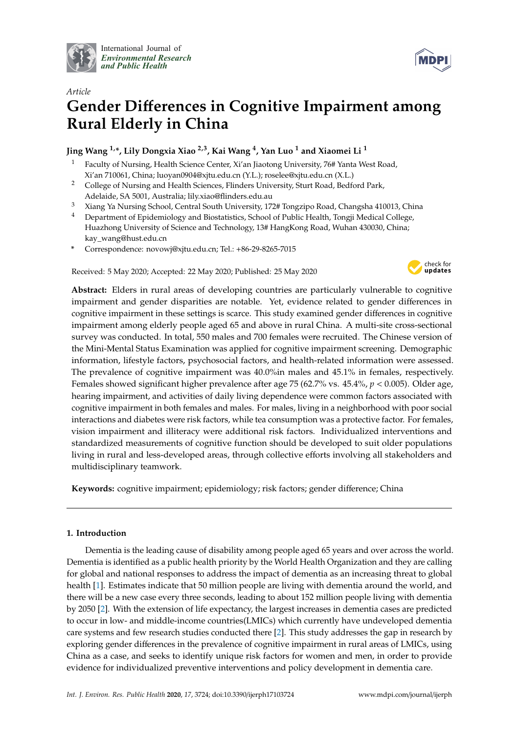

International Journal of *[Environmental Research](http://www.mdpi.com/journal/ijerph) and Public Health*



# *Article* **Gender Di**ff**erences in Cognitive Impairment among Rural Elderly in China**

**Jing Wang 1,\*, Lily Dongxia Xiao 2,3, Kai Wang <sup>4</sup> , Yan Luo <sup>1</sup> and Xiaomei Li <sup>1</sup>**

- <sup>1</sup> Faculty of Nursing, Health Science Center, Xi'an Jiaotong University, 76# Yanta West Road, Xi'an 710061, China; luoyan0904@xjtu.edu.cn (Y.L.); roselee@xjtu.edu.cn (X.L.)
- <sup>2</sup> College of Nursing and Health Sciences, Flinders University, Sturt Road, Bedford Park, Adelaide, SA 5001, Australia; lily.xiao@flinders.edu.au
- <sup>3</sup> Xiang Ya Nursing School, Central South University, 172# Tongzipo Road, Changsha 410013, China
- <sup>4</sup> Department of Epidemiology and Biostatistics, School of Public Health, Tongji Medical College, Huazhong University of Science and Technology, 13# HangKong Road, Wuhan 430030, China; kay\_wang@hust.edu.cn
- **\*** Correspondence: novowj@xjtu.edu.cn; Tel.: +86-29-8265-7015

Received: 5 May 2020; Accepted: 22 May 2020; Published: 25 May 2020



**Abstract:** Elders in rural areas of developing countries are particularly vulnerable to cognitive impairment and gender disparities are notable. Yet, evidence related to gender differences in cognitive impairment in these settings is scarce. This study examined gender differences in cognitive impairment among elderly people aged 65 and above in rural China. A multi-site cross-sectional survey was conducted. In total, 550 males and 700 females were recruited. The Chinese version of the Mini-Mental Status Examination was applied for cognitive impairment screening. Demographic information, lifestyle factors, psychosocial factors, and health-related information were assessed. The prevalence of cognitive impairment was 40.0%in males and 45.1% in females, respectively. Females showed significant higher prevalence after age 75 (62.7% vs. 45.4%, *p* < 0.005). Older age, hearing impairment, and activities of daily living dependence were common factors associated with cognitive impairment in both females and males. For males, living in a neighborhood with poor social interactions and diabetes were risk factors, while tea consumption was a protective factor. For females, vision impairment and illiteracy were additional risk factors. Individualized interventions and standardized measurements of cognitive function should be developed to suit older populations living in rural and less-developed areas, through collective efforts involving all stakeholders and multidisciplinary teamwork.

**Keywords:** cognitive impairment; epidemiology; risk factors; gender difference; China

# **1. Introduction**

Dementia is the leading cause of disability among people aged 65 years and over across the world. Dementia is identified as a public health priority by the World Health Organization and they are calling for global and national responses to address the impact of dementia as an increasing threat to global health [\[1\]](#page-13-0). Estimates indicate that 50 million people are living with dementia around the world, and there will be a new case every three seconds, leading to about 152 million people living with dementia by 2050 [\[2\]](#page-13-1). With the extension of life expectancy, the largest increases in dementia cases are predicted to occur in low- and middle-income countries(LMICs) which currently have undeveloped dementia care systems and few research studies conducted there [\[2\]](#page-13-1). This study addresses the gap in research by exploring gender differences in the prevalence of cognitive impairment in rural areas of LMICs, using China as a case, and seeks to identify unique risk factors for women and men, in order to provide evidence for individualized preventive interventions and policy development in dementia care.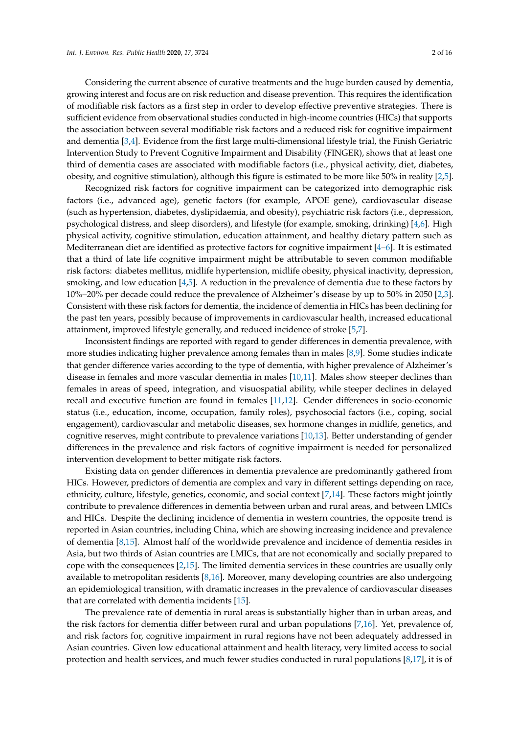Considering the current absence of curative treatments and the huge burden caused by dementia, growing interest and focus are on risk reduction and disease prevention. This requires the identification of modifiable risk factors as a first step in order to develop effective preventive strategies. There is sufficient evidence from observational studies conducted in high-income countries (HICs) that supports the association between several modifiable risk factors and a reduced risk for cognitive impairment and dementia [\[3,](#page-13-2)[4\]](#page-13-3). Evidence from the first large multi-dimensional lifestyle trial, the Finish Geriatric Intervention Study to Prevent Cognitive Impairment and Disability (FINGER), shows that at least one third of dementia cases are associated with modifiable factors (i.e., physical activity, diet, diabetes, obesity, and cognitive stimulation), although this figure is estimated to be more like 50% in reality [\[2](#page-13-1)[,5\]](#page-13-4).

Recognized risk factors for cognitive impairment can be categorized into demographic risk factors (i.e., advanced age), genetic factors (for example, APOE gene), cardiovascular disease (such as hypertension, diabetes, dyslipidaemia, and obesity), psychiatric risk factors (i.e., depression, psychological distress, and sleep disorders), and lifestyle (for example, smoking, drinking) [\[4](#page-13-3)[,6\]](#page-13-5). High physical activity, cognitive stimulation, education attainment, and healthy dietary pattern such as Mediterranean diet are identified as protective factors for cognitive impairment [\[4–](#page-13-3)[6\]](#page-13-5). It is estimated that a third of late life cognitive impairment might be attributable to seven common modifiable risk factors: diabetes mellitus, midlife hypertension, midlife obesity, physical inactivity, depression, smoking, and low education  $[4,5]$  $[4,5]$ . A reduction in the prevalence of dementia due to these factors by 10%–20% per decade could reduce the prevalence of Alzheimer's disease by up to 50% in 2050 [\[2,](#page-13-1)[3\]](#page-13-2). Consistent with these risk factors for dementia, the incidence of dementia in HICs has been declining for the past ten years, possibly because of improvements in cardiovascular health, increased educational attainment, improved lifestyle generally, and reduced incidence of stroke [\[5](#page-13-4)[,7\]](#page-13-6).

Inconsistent findings are reported with regard to gender differences in dementia prevalence, with more studies indicating higher prevalence among females than in males [\[8,](#page-13-7)[9\]](#page-14-0). Some studies indicate that gender difference varies according to the type of dementia, with higher prevalence of Alzheimer's disease in females and more vascular dementia in males [\[10](#page-14-1)[,11\]](#page-14-2). Males show steeper declines than females in areas of speed, integration, and visuospatial ability, while steeper declines in delayed recall and executive function are found in females [\[11](#page-14-2)[,12\]](#page-14-3). Gender differences in socio-economic status (i.e., education, income, occupation, family roles), psychosocial factors (i.e., coping, social engagement), cardiovascular and metabolic diseases, sex hormone changes in midlife, genetics, and cognitive reserves, might contribute to prevalence variations [\[10,](#page-14-1)[13\]](#page-14-4). Better understanding of gender differences in the prevalence and risk factors of cognitive impairment is needed for personalized intervention development to better mitigate risk factors.

Existing data on gender differences in dementia prevalence are predominantly gathered from HICs. However, predictors of dementia are complex and vary in different settings depending on race, ethnicity, culture, lifestyle, genetics, economic, and social context [\[7,](#page-13-6)[14\]](#page-14-5). These factors might jointly contribute to prevalence differences in dementia between urban and rural areas, and between LMICs and HICs. Despite the declining incidence of dementia in western countries, the opposite trend is reported in Asian countries, including China, which are showing increasing incidence and prevalence of dementia [\[8,](#page-13-7)[15\]](#page-14-6). Almost half of the worldwide prevalence and incidence of dementia resides in Asia, but two thirds of Asian countries are LMICs, that are not economically and socially prepared to cope with the consequences [\[2,](#page-13-1)[15\]](#page-14-6). The limited dementia services in these countries are usually only available to metropolitan residents [\[8,](#page-13-7)[16\]](#page-14-7). Moreover, many developing countries are also undergoing an epidemiological transition, with dramatic increases in the prevalence of cardiovascular diseases that are correlated with dementia incidents [\[15\]](#page-14-6).

The prevalence rate of dementia in rural areas is substantially higher than in urban areas, and the risk factors for dementia differ between rural and urban populations [\[7,](#page-13-6)[16\]](#page-14-7). Yet, prevalence of, and risk factors for, cognitive impairment in rural regions have not been adequately addressed in Asian countries. Given low educational attainment and health literacy, very limited access to social protection and health services, and much fewer studies conducted in rural populations [\[8](#page-13-7)[,17\]](#page-14-8), it is of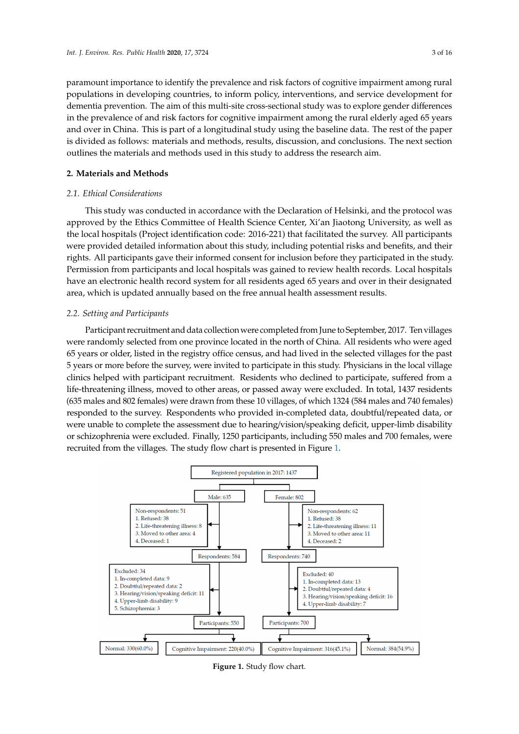paramount importance to identify the prevalence and risk factors of cognitive impairment among rural populations in developing countries, to inform policy, interventions, and service development for dementia prevention. The aim of this multi-site cross-sectional study was to explore gender differences in the prevalence of and risk factors for cognitive impairment among the rural elderly aged 65 years and over in China. This is part of a longitudinal study using the baseline data. The rest of the paper is divided as follows: materials and methods, results, discussion, and conclusions. The next section outlines the materials and methods used in this study to address the research aim.

#### **2. Materials and Methods**

#### *2.1. Ethical Considerations*

This study was conducted in accordance with the Declaration of Helsinki, and the protocol was approved by the Ethics Committee of Health Science Center, Xi'an Jiaotong University, as well as the local hospitals (Project identification code: 2016-221) that facilitated the survey. All participants were provided detailed information about this study, including potential risks and benefits, and their rights. All participants gave their informed consent for inclusion before they participated in the study. Permission from participants and local hospitals was gained to review health records. Local hospitals have an electronic health record system for all residents aged 65 years and over in their designated area, which is updated annually based on the free annual health assessment results.

#### *2.2. Setting and Participants*

Participant recruitment and data collection were completed from June to September, 2017. Ten villages were randomly selected from one province located in the north of China. All residents who were aged 65 years or older, listed in the registry office census, and had lived in the selected villages for the past 5 years or more before the survey, were invited to participate in this study. Physicians in the local village clinics helped with participant recruitment. Residents who declined to participate, suffered from a life-threatening illness, moved to other areas, or passed away were excluded. In total, 1437 residents (635 males and 802 females) were drawn from these 10 villages, of which 1324 (584 males and 740 females) responded to the survey. Respondents who provided in-completed data, doubtful/repeated data, or were unable to complete the assessment due to hearing/vision/speaking deficit, upper-limb disability or schizophrenia were excluded. Finally, 1250 participants, including 550 males and 700 females, were recruited from the villages. The study flow chart is presented in Figure [1.](#page-2-0)

<span id="page-2-0"></span>

**Figure 1.** Study flow chart.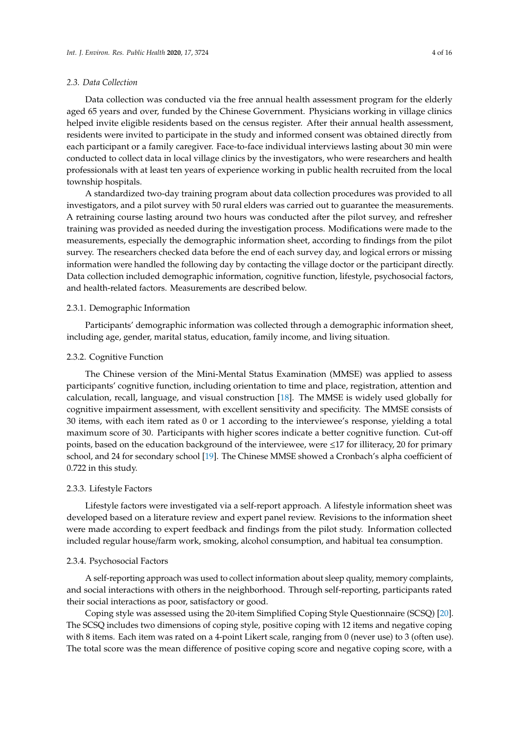#### *2.3. Data Collection*

Data collection was conducted via the free annual health assessment program for the elderly aged 65 years and over, funded by the Chinese Government. Physicians working in village clinics helped invite eligible residents based on the census register. After their annual health assessment, residents were invited to participate in the study and informed consent was obtained directly from each participant or a family caregiver. Face-to-face individual interviews lasting about 30 min were conducted to collect data in local village clinics by the investigators, who were researchers and health professionals with at least ten years of experience working in public health recruited from the local township hospitals.

A standardized two-day training program about data collection procedures was provided to all investigators, and a pilot survey with 50 rural elders was carried out to guarantee the measurements. A retraining course lasting around two hours was conducted after the pilot survey, and refresher training was provided as needed during the investigation process. Modifications were made to the measurements, especially the demographic information sheet, according to findings from the pilot survey. The researchers checked data before the end of each survey day, and logical errors or missing information were handled the following day by contacting the village doctor or the participant directly. Data collection included demographic information, cognitive function, lifestyle, psychosocial factors, and health-related factors. Measurements are described below.

# 2.3.1. Demographic Information

Participants' demographic information was collected through a demographic information sheet, including age, gender, marital status, education, family income, and living situation.

# 2.3.2. Cognitive Function

The Chinese version of the Mini-Mental Status Examination (MMSE) was applied to assess participants' cognitive function, including orientation to time and place, registration, attention and calculation, recall, language, and visual construction [\[18\]](#page-14-9). The MMSE is widely used globally for cognitive impairment assessment, with excellent sensitivity and specificity. The MMSE consists of 30 items, with each item rated as 0 or 1 according to the interviewee's response, yielding a total maximum score of 30. Participants with higher scores indicate a better cognitive function. Cut-off points, based on the education background of the interviewee, were ≤17 for illiteracy, 20 for primary school, and 24 for secondary school [\[19\]](#page-14-10). The Chinese MMSE showed a Cronbach's alpha coefficient of 0.722 in this study.

#### 2.3.3. Lifestyle Factors

Lifestyle factors were investigated via a self-report approach. A lifestyle information sheet was developed based on a literature review and expert panel review. Revisions to the information sheet were made according to expert feedback and findings from the pilot study. Information collected included regular house/farm work, smoking, alcohol consumption, and habitual tea consumption.

#### 2.3.4. Psychosocial Factors

A self-reporting approach was used to collect information about sleep quality, memory complaints, and social interactions with others in the neighborhood. Through self-reporting, participants rated their social interactions as poor, satisfactory or good.

Coping style was assessed using the 20-item Simplified Coping Style Questionnaire (SCSQ) [\[20\]](#page-14-11). The SCSQ includes two dimensions of coping style, positive coping with 12 items and negative coping with 8 items. Each item was rated on a 4-point Likert scale, ranging from 0 (never use) to 3 (often use). The total score was the mean difference of positive coping score and negative coping score, with a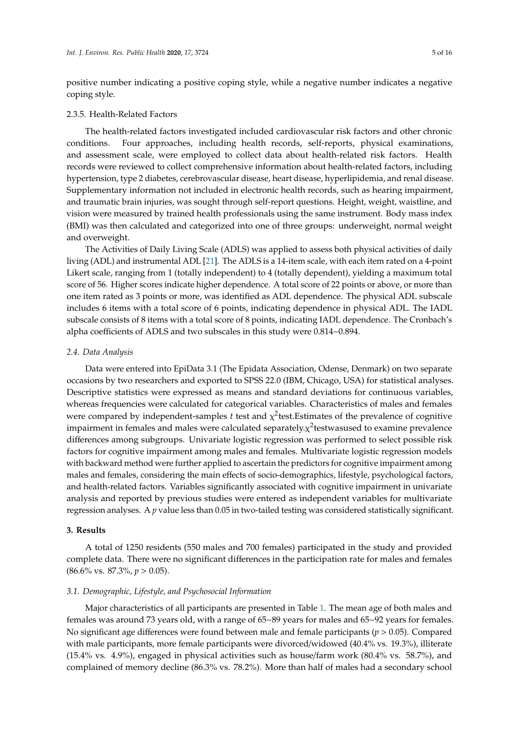positive number indicating a positive coping style, while a negative number indicates a negative coping style.

#### 2.3.5. Health-Related Factors

The health-related factors investigated included cardiovascular risk factors and other chronic conditions. Four approaches, including health records, self-reports, physical examinations, and assessment scale, were employed to collect data about health-related risk factors. Health records were reviewed to collect comprehensive information about health-related factors, including hypertension, type 2 diabetes, cerebrovascular disease, heart disease, hyperlipidemia, and renal disease. Supplementary information not included in electronic health records, such as hearing impairment, and traumatic brain injuries, was sought through self-report questions. Height, weight, waistline, and vision were measured by trained health professionals using the same instrument. Body mass index (BMI) was then calculated and categorized into one of three groups: underweight, normal weight and overweight.

The Activities of Daily Living Scale (ADLS) was applied to assess both physical activities of daily living (ADL) and instrumental ADL [\[21\]](#page-14-12). The ADLS is a 14-item scale, with each item rated on a 4-point Likert scale, ranging from 1 (totally independent) to 4 (totally dependent), yielding a maximum total score of 56. Higher scores indicate higher dependence. A total score of 22 points or above, or more than one item rated as 3 points or more, was identified as ADL dependence. The physical ADL subscale includes 6 items with a total score of 6 points, indicating dependence in physical ADL. The IADL subscale consists of 8 items with a total score of 8 points, indicating IADL dependence. The Cronbach's alpha coefficients of ADLS and two subscales in this study were 0.814~0.894.

#### *2.4. Data Analysis*

Data were entered into EpiData 3.1 (The Epidata Association, Odense, Denmark) on two separate occasions by two researchers and exported to SPSS 22.0 (IBM, Chicago, USA) for statistical analyses. Descriptive statistics were expressed as means and standard deviations for continuous variables, whereas frequencies were calculated for categorical variables. Characteristics of males and females were compared by independent-samples  $t$  test and  $\chi^2$ test. Estimates of the prevalence of cognitive impairment in females and males were calculated separately. $\chi^2$ testwasused to examine prevalence differences among subgroups. Univariate logistic regression was performed to select possible risk factors for cognitive impairment among males and females. Multivariate logistic regression models with backward method were further applied to ascertain the predictors for cognitive impairment among males and females, considering the main effects of socio-demographics, lifestyle, psychological factors, and health-related factors. Variables significantly associated with cognitive impairment in univariate analysis and reported by previous studies were entered as independent variables for multivariate regression analyses. A *p* value less than 0.05 in two-tailed testing was considered statistically significant.

#### **3. Results**

A total of 1250 residents (550 males and 700 females) participated in the study and provided complete data. There were no significant differences in the participation rate for males and females (86.6% vs. 87.3%, *p* > 0.05).

# *3.1. Demographic, Lifestyle, and Psychosocial Information*

Major characteristics of all participants are presented in Table [1.](#page-5-0) The mean age of both males and females was around 73 years old, with a range of 65~89 years for males and 65~92 years for females. No significant age differences were found between male and female participants (*p* > 0.05). Compared with male participants, more female participants were divorced/widowed (40.4% vs. 19.3%), illiterate (15.4% vs. 4.9%), engaged in physical activities such as house/farm work (80.4% vs. 58.7%), and complained of memory decline (86.3% vs. 78.2%). More than half of males had a secondary school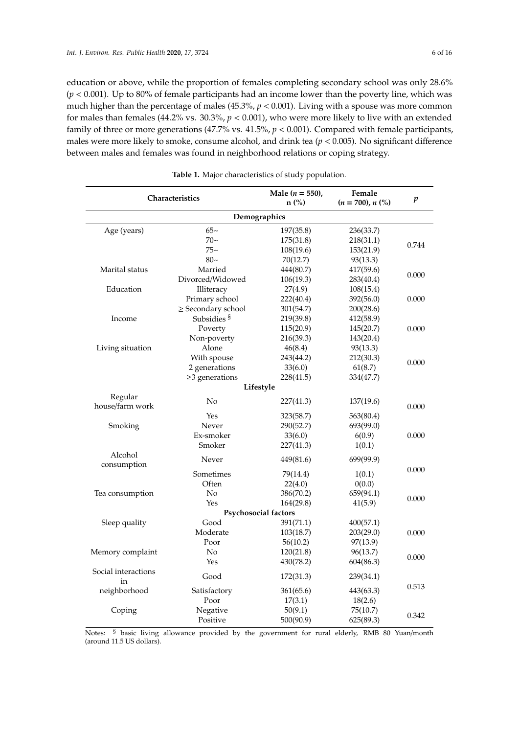education or above, while the proportion of females completing secondary school was only 28.6% (*p* < 0.001). Up to 80% of female participants had an income lower than the poverty line, which was much higher than the percentage of males (45.3%, *p* < 0.001). Living with a spouse was more common for males than females (44.2% vs. 30.3%, *p* < 0.001), who were more likely to live with an extended family of three or more generations (47.7% vs. 41.5%, *p* < 0.001). Compared with female participants, males were more likely to smoke, consume alcohol, and drink tea  $(p < 0.005)$ . No significant difference between males and females was found in neighborhood relations or coping strategy.

<span id="page-5-0"></span>

| Characteristics           |                         | Male ( $n = 550$ ),<br>$n$ (%) | Female<br>$(n = 700)$ , n $\binom{0}{0}$ | $\boldsymbol{p}$ |  |  |
|---------------------------|-------------------------|--------------------------------|------------------------------------------|------------------|--|--|
| Demographics              |                         |                                |                                          |                  |  |  |
| Age (years)               | $65-$                   | 197(35.8)                      | 236(33.7)                                |                  |  |  |
|                           | $70-$                   | 175(31.8)                      | 218(31.1)                                |                  |  |  |
|                           | $75-$                   | 108(19.6)                      | 153(21.9)                                | 0.744            |  |  |
|                           | $80-$                   | 70(12.7)                       | 93(13.3)                                 |                  |  |  |
| Marital status            | Married                 | 444(80.7)                      | 417(59.6)                                |                  |  |  |
|                           | Divorced/Widowed        | 106(19.3)                      | 283(40.4)                                | 0.000            |  |  |
| Education                 | Illiteracy              | 27(4.9)                        | 108(15.4)                                |                  |  |  |
|                           | Primary school          | 222(40.4)                      | 392(56.0)                                | 0.000            |  |  |
|                           | $\geq$ Secondary school | 301(54.7)                      | 200(28.6)                                |                  |  |  |
| Income                    | Subsidies <sup>§</sup>  | 219(39.8)                      | 412(58.9)                                |                  |  |  |
|                           | Poverty                 | 115(20.9)                      | 145(20.7)                                | 0.000            |  |  |
|                           | Non-poverty             | 216(39.3)                      | 143(20.4)                                |                  |  |  |
| Living situation          | Alone                   | 46(8.4)                        | 93(13.3)                                 |                  |  |  |
|                           | With spouse             | 243(44.2)                      | 212(30.3)                                |                  |  |  |
|                           | 2 generations           | 33(6.0)                        | 61(8.7)                                  | 0.000            |  |  |
|                           | $\geq$ 3 generations    | 228(41.5)                      | 334(47.7)                                |                  |  |  |
|                           |                         | Lifestyle                      |                                          |                  |  |  |
| Regular                   | No                      | 227(41.3)                      | 137(19.6)                                |                  |  |  |
| house/farm work           |                         |                                |                                          | 0.000            |  |  |
|                           | Yes                     | 323(58.7)                      | 563(80.4)                                |                  |  |  |
| Smoking                   | Never                   | 290(52.7)                      | 693(99.0)                                |                  |  |  |
|                           | Ex-smoker               | 33(6.0)                        | 6(0.9)                                   | 0.000            |  |  |
|                           | Smoker                  | 227(41.3)                      | 1(0.1)                                   |                  |  |  |
| Alcohol<br>consumption    | Never                   | 449(81.6)                      | 699(99.9)                                |                  |  |  |
|                           | Sometimes               | 79(14.4)                       | 1(0.1)                                   | 0.000            |  |  |
|                           | Often                   | 22(4.0)                        | 0(0.0)                                   |                  |  |  |
| Tea consumption           | No                      | 386(70.2)                      | 659(94.1)                                |                  |  |  |
|                           | Yes                     | 164(29.8)                      | 41(5.9)                                  | 0.000            |  |  |
|                           |                         | Psychosocial factors           |                                          |                  |  |  |
| Sleep quality             | Good                    | 391(71.1)                      | 400(57.1)                                |                  |  |  |
|                           | Moderate                | 103(18.7)                      | 203(29.0)                                | 0.000            |  |  |
|                           | Poor                    | 56(10.2)                       | 97(13.9)                                 |                  |  |  |
| Memory complaint          | No                      | 120(21.8)                      | 96(13.7)                                 |                  |  |  |
|                           | Yes                     | 430(78.2)                      | 604(86.3)                                | 0.000            |  |  |
| Social interactions<br>in | Good                    | 172(31.3)                      | 239(34.1)                                |                  |  |  |
| neighborhood              | Satisfactory            | 361(65.6)                      | 443(63.3)                                | 0.513            |  |  |
|                           | Poor                    | 17(3.1)                        | 18(2.6)                                  |                  |  |  |
| Coping                    | Negative                | 50(9.1)                        | 75(10.7)                                 |                  |  |  |
|                           | Positive                | 500(90.9)                      | 625(89.3)                                | 0.342            |  |  |

**Table 1.** Major characteristics of study population.

Notes: § basic living allowance provided by the government for rural elderly, RMB 80 Yuan/month (around 11.5 US dollars).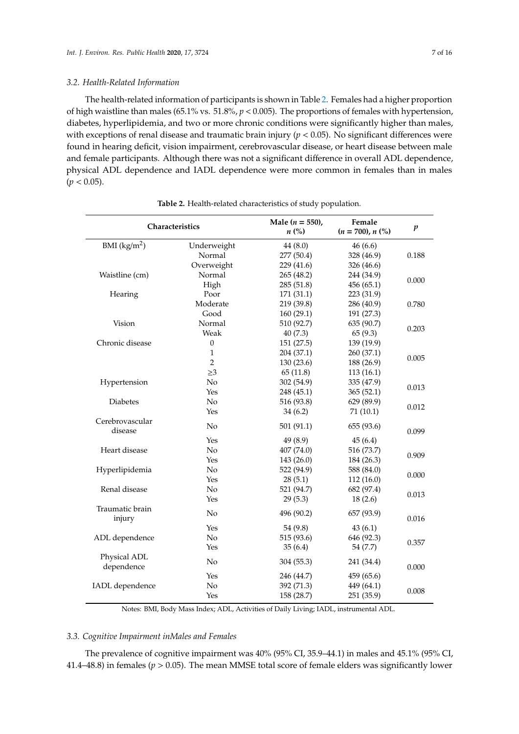#### *3.2. Health-Related Information*

The health-related information of participants is shown in Table [2.](#page-6-0) Females had a higher proportion of high waistline than males (65.1% vs. 51.8%, *p* < 0.005). The proportions of females with hypertension, diabetes, hyperlipidemia, and two or more chronic conditions were significantly higher than males, with exceptions of renal disease and traumatic brain injury ( $p < 0.05$ ). No significant differences were found in hearing deficit, vision impairment, cerebrovascular disease, or heart disease between male and female participants. Although there was not a significant difference in overall ADL dependence, physical ADL dependence and IADL dependence were more common in females than in males  $(p < 0.05)$ .

<span id="page-6-0"></span>

| Characteristics            |                  | Male ( $n = 550$ ),<br>$n\left(\%\right)$ | Female<br>$(n = 700), n$ (%) | $\boldsymbol{p}$ |
|----------------------------|------------------|-------------------------------------------|------------------------------|------------------|
| BMI $(kg/m2)$              | Underweight      | 44(8.0)                                   | 46(6.6)                      |                  |
|                            | Normal           | 277 (50.4)                                | 328 (46.9)                   | 0.188            |
|                            | Overweight       | 229 (41.6)                                | 326 (46.6)                   |                  |
| Waistline (cm)             | Normal           | 265 (48.2)                                | 244 (34.9)                   |                  |
|                            | High             | 285 (51.8)                                | 456(65.1)                    | 0.000            |
| Hearing                    | Poor             | 171 (31.1)                                | 223 (31.9)                   |                  |
|                            | Moderate         | 219 (39.8)                                | 286 (40.9)                   | 0.780            |
|                            | Good             | 160(29.1)                                 | 191 (27.3)                   |                  |
| Vision                     | Normal           | 510 (92.7)                                | 635 (90.7)                   |                  |
|                            | Weak             | 40(7.3)                                   | 65(9.3)                      | 0.203            |
| Chronic disease            | $\boldsymbol{0}$ | 151 (27.5)                                | 139 (19.9)                   |                  |
|                            | $\mathbf{1}$     | 204 (37.1)                                | 260 (37.1)                   |                  |
|                            | $\overline{2}$   | 130 (23.6)                                | 188 (26.9)                   | 0.005            |
|                            | $\geq$ 3         | 65(11.8)                                  | 113(16.1)                    |                  |
| Hypertension               | No               | 302 (54.9)                                | 335 (47.9)                   |                  |
|                            | Yes              | 248 (45.1)                                | 365(52.1)                    | 0.013            |
| <b>Diabetes</b>            | No               | 516 (93.8)                                | 629 (89.9)                   |                  |
|                            | Yes              | 34(6.2)                                   | 71(10.1)                     | 0.012            |
| Cerebrovascular<br>disease | No               | 501(91.1)                                 | 655 (93.6)                   | 0.099            |
|                            | Yes              | 49 (8.9)                                  | 45(6.4)                      |                  |
| Heart disease              | No               | 407 (74.0)                                | 516 (73.7)                   |                  |
|                            | Yes              | 143 (26.0)                                | 184 (26.3)                   | 0.909            |
| Hyperlipidemia             | No               | 522 (94.9)                                | 588 (84.0)                   |                  |
|                            | Yes              | 28(5.1)                                   | 112 (16.0)                   | 0.000            |
| Renal disease              | No               | 521 (94.7)                                | 682 (97.4)                   |                  |
|                            | Yes              | 29(5.3)                                   | 18(2.6)                      | 0.013            |
| Traumatic brain<br>injury  | No               | 496 (90.2)                                | 657 (93.9)                   | 0.016            |
|                            | Yes              | 54 (9.8)                                  | 43(6.1)                      |                  |
| ADL dependence             | No               | 515 (93.6)                                | 646 (92.3)                   |                  |
|                            | Yes              | 35(6.4)                                   | 54 (7.7)                     | 0.357            |
| Physical ADL<br>dependence | No               | 304 (55.3)                                | 241 (34.4)                   | 0.000            |
|                            | Yes              | 246 (44.7)                                | 459 (65.6)                   |                  |
| IADL dependence            | No               | 392 (71.3)                                | 449 (64.1)                   |                  |
|                            | Yes              | 158 (28.7)                                | 251 (35.9)                   | 0.008            |

**Table 2.** Health-related characteristics of study population.

Notes: BMI, Body Mass Index; ADL, Activities of Daily Living; IADL, instrumental ADL.

# *3.3. Cognitive Impairment inMales and Females*

The prevalence of cognitive impairment was 40% (95% CI, 35.9–44.1) in males and 45.1% (95% CI, 41.4–48.8) in females (*p* > 0.05). The mean MMSE total score of female elders was significantly lower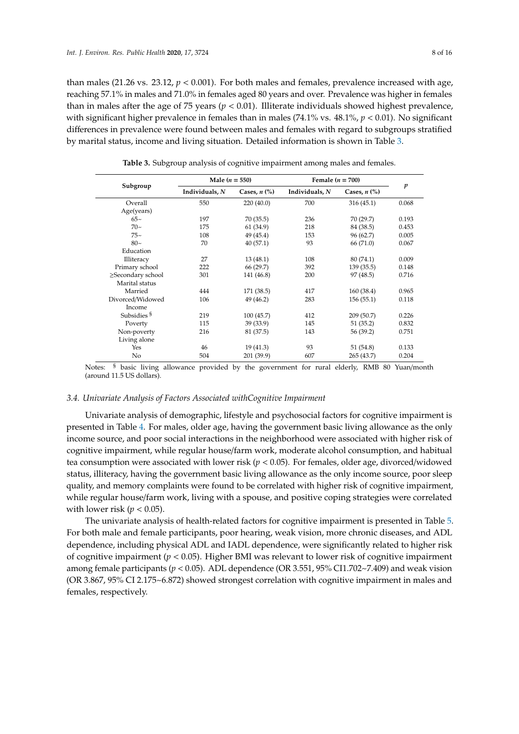than males (21.26 vs. 23.12, *p* < 0.001). For both males and females, prevalence increased with age, reaching 57.1% in males and 71.0% in females aged 80 years and over. Prevalence was higher in females than in males after the age of 75 years ( $p < 0.01$ ). Illiterate individuals showed highest prevalence, with significant higher prevalence in females than in males (74.1% vs. 48.1%, *p* < 0.01). No significant differences in prevalence were found between males and females with regard to subgroups stratified by marital status, income and living situation. Detailed information is shown in Table [3.](#page-7-0)

<span id="page-7-0"></span>

|                         | Male $(n = 550)$ |                               | Female $(n = 700)$ |                               |                  |
|-------------------------|------------------|-------------------------------|--------------------|-------------------------------|------------------|
| Subgroup                | Individuals, N   | Cases, $n$ $\left(\% \right)$ | Individuals, $N$   | Cases, $n$ $\left(\% \right)$ | $\boldsymbol{p}$ |
| Overall                 | 550              | 220(40.0)                     | 700                | 316(45.1)                     | 0.068            |
| Age(years)              |                  |                               |                    |                               |                  |
| $65-$                   | 197              | 70(35.5)                      | 236                | 70 (29.7)                     | 0.193            |
| $70-$                   | 175              | 61 (34.9)                     | 218                | 84 (38.5)                     | 0.453            |
| $75-$                   | 108              | 49 (45.4)                     | 153                | 96 (62.7)                     | 0.005            |
| $80-$                   | 70               | 40(57.1)                      | 93                 | 66 (71.0)                     | 0.067            |
| Education               |                  |                               |                    |                               |                  |
| Illiteracy              | 27               | 13(48.1)                      | 108                | 80 (74.1)                     | 0.009            |
| Primary school          | 222              | 66 (29.7)                     | 392                | 139(35.5)                     | 0.148            |
| $\geq$ Secondary school | 301              | 141 (46.8)                    | 200                | 97 (48.5)                     | 0.716            |
| Marital status          |                  |                               |                    |                               |                  |
| Married                 | 444              | 171 (38.5)                    | 417                | 160(38.4)                     | 0.965            |
| Divorced/Widowed        | 106              | 49 (46.2)                     | 283                | 156(55.1)                     | 0.118            |
| Income                  |                  |                               |                    |                               |                  |
| Subsidies <sup>§</sup>  | 219              | 100(45.7)                     | 412                | 209 (50.7)                    | 0.226            |
| Poverty                 | 115              | 39 (33.9)                     | 145                | 51 (35.2)                     | 0.832            |
| Non-poverty             | 216              | 81 (37.5)                     | 143                | 56 (39.2)                     | 0.751            |
| Living alone            |                  |                               |                    |                               |                  |
| Yes                     | 46               | 19(41.3)                      | 93                 | 51(54.8)                      | 0.133            |
| No                      | 504              | 201 (39.9)                    | 607                | 265 (43.7)                    | 0.204            |
|                         |                  |                               |                    |                               |                  |

**Table 3.** Subgroup analysis of cognitive impairment among males and females.

Notes: § basic living allowance provided by the government for rural elderly, RMB 80 Yuan/month (around 11.5 US dollars).

#### *3.4. Univariate Analysis of Factors Associated withCognitive Impairment*

Univariate analysis of demographic, lifestyle and psychosocial factors for cognitive impairment is presented in Table [4.](#page-8-0) For males, older age, having the government basic living allowance as the only income source, and poor social interactions in the neighborhood were associated with higher risk of cognitive impairment, while regular house/farm work, moderate alcohol consumption, and habitual tea consumption were associated with lower risk (*p* < 0.05). For females, older age, divorced/widowed status, illiteracy, having the government basic living allowance as the only income source, poor sleep quality, and memory complaints were found to be correlated with higher risk of cognitive impairment, while regular house/farm work, living with a spouse, and positive coping strategies were correlated with lower risk ( $p < 0.05$ ).

The univariate analysis of health-related factors for cognitive impairment is presented in Table [5.](#page-9-0) For both male and female participants, poor hearing, weak vision, more chronic diseases, and ADL dependence, including physical ADL and IADL dependence, were significantly related to higher risk of cognitive impairment (*p* < 0.05). Higher BMI was relevant to lower risk of cognitive impairment among female participants (*p* < 0.05). ADL dependence (OR 3.551, 95% CI1.702~7.409) and weak vision (OR 3.867, 95% CI 2.175~6.872) showed strongest correlation with cognitive impairment in males and females, respectively.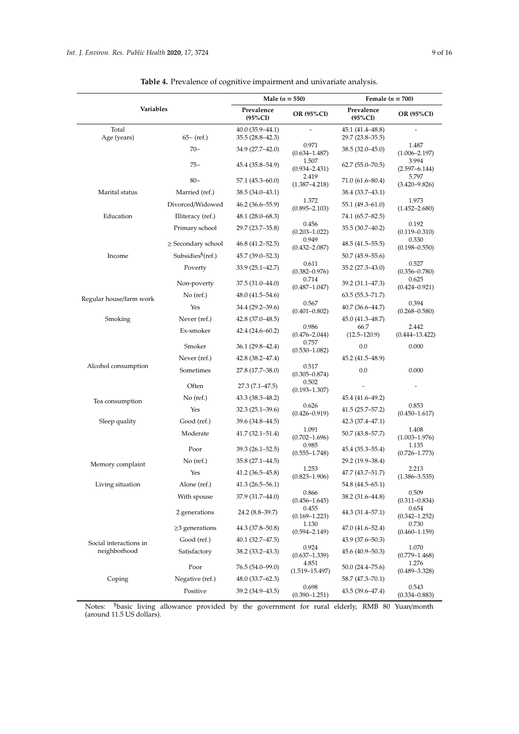<span id="page-8-0"></span>

|                         |                               |                                         | Male $(n = 550)$                    |                                      | Female $(n = 700)$          |  |
|-------------------------|-------------------------------|-----------------------------------------|-------------------------------------|--------------------------------------|-----------------------------|--|
| Variables               |                               | Prevalence<br>$(95\%CI)$                | OR (95%CI)                          | Prevalence<br>(95%CI)                | OR (95%CI)                  |  |
| Total<br>Age (years)    | $65 - (ref.)$                 | $40.0(35.9 - 44.1)$<br>35.5 (28.8–42.3) |                                     | 45.1 (41.4–48.8)<br>29.7 (23.8–35.5) |                             |  |
|                         | $70-$                         | 34.9 (27.7-42.0)                        | 0.971<br>$(0.634 - 1.487)$          | 38.5 (32.0-45.0)                     | 1.487<br>$(1.006 - 2.197)$  |  |
|                         | $75-$                         | 45.4 (35.8–54.9)                        | 1.507<br>$(0.934 - 2.431)$          | $62.7(55.0 - 70.5)$                  | 3.994<br>$(2.597 - 6.144)$  |  |
|                         | $80-$                         | $57.1(45.3 - 60.0)$                     | 2.419<br>$(1.387 - 4.218)$          | $71.0(61.6 - 80.4)$                  | 5.797<br>$(3.420 - 9.826)$  |  |
| Marital status          | Married (ref.)                | 38.5 (34.0–43.1)                        |                                     | 38.4 (33.7–43.1)                     |                             |  |
|                         | Divorced/Widowed              | $46.2(36.6 - 55.9)$                     | 1.372<br>$(0.895 - 2.103)$          | 55.1 (49.3–61.0)                     | 1.973<br>$(1.452 - 2.680)$  |  |
| Education               | Illiteracy (ref.)             | $48.1(28.0 - 68.3)$                     |                                     | 74.1 (65.7–82.5)                     |                             |  |
|                         | Primary school                | 29.7 (23.7–35.8)                        | 0.456<br>$(0.203 - 1.022)$          | 35.5 (30.7–40.2)                     | 0.192<br>$(0.119 - 0.310)$  |  |
|                         | $\geq$ Secondary school       | $46.8(41.2 - 52.5)$                     | 0.949<br>$(0.432 - 2.087)$          | $48.5(41.5-55.5)$                    | 0.330<br>$(0.198 - 0.550)$  |  |
| Income                  | Subsidies <sup>§</sup> (ref.) | 45.7 (39.0-52.3)                        |                                     | $50.7(45.9 - 55.6)$                  |                             |  |
|                         | Poverty                       | $33.9(25.1 - 42.7)$                     | 0.611<br>$(0.382 - 0.976)$<br>0.714 | 35.2 (27.3–43.0)                     | 0.527<br>$(0.356 - 0.780)$  |  |
|                         | Non-poverty                   | $37.5(31.0 - 44.0)$                     | $(0.487 - 1.047)$                   | 39.2 (31.1–47.3)                     | 0.625<br>$(0.424 - 0.921)$  |  |
| Regular house/farm work | $No$ (ref.)                   | $48.0(41.5 - 54.6)$                     |                                     | $63.5(55.3 - 71.7)$                  |                             |  |
|                         | Yes                           | 34.4 (29.2-39.6)                        | 0.567<br>$(0.401 - 0.802)$          | $40.7(36.6 - 44.7)$                  | 0.394<br>$(0.268 - 0.580)$  |  |
| Smoking                 | Never (ref.)                  | $42.8(37.0-48.5)$                       |                                     | 45.0 (41.3-48.7)                     |                             |  |
|                         | Ex-smoker                     | $42.4(24.6 - 60.2)$                     | 0.986<br>$(0.476 - 2.044)$<br>0.757 | 66.7<br>$(12.5 - 120.9)$             | 2.442<br>$(0.444 - 13.422)$ |  |
|                         | Smoker                        | 36.1 (29.8–42.4)                        | $(0.530 - 1.082)$                   | 0.0                                  | 0.000                       |  |
|                         | Never (ref.)                  | $42.8(38.2 - 47.4)$                     |                                     | 45.2 (41.5-48.9)                     |                             |  |
| Alcohol consumption     | Sometimes                     | 27.8 (17.7-38.0)                        | 0.517<br>$(0.305 - 0.874)$          | 0.0                                  | 0.000                       |  |
|                         | Often                         | $27.3(7.1 - 47.5)$                      | 0.502<br>$(0.193 - 1.307)$          |                                      |                             |  |
| Tea consumption         | No (ref.)                     | 43.3 (38.3–48.2)                        |                                     | 45.4 (41.6–49.2)                     |                             |  |
|                         | Yes                           | $32.3(25.1 - 39.6)$                     | 0.626<br>$(0.426 - 0.919)$          | $41.5(25.7 - 57.2)$                  | 0.853<br>$(0.450 - 1.617)$  |  |
| Sleep quality           | Good (ref.)                   | 39.6 (34.8–44.5)                        |                                     | 42.3 (37.4–47.1)                     |                             |  |
|                         | Moderate                      | $41.7(32.1 - 51.4)$                     | 1.091<br>$(0.702 - 1.696)$          | 50.7 (43.8-57.7)                     | 1.408<br>$(1.003 - 1.976)$  |  |
|                         | Poor                          | $39.3(26.1 - 52.5)$                     | 0.985<br>$(0.555 - 1.748)$          | 45.4 (35.3–55.4)                     | 1.135<br>$(0.726 - 1.773)$  |  |
| Memory complaint        | No (ref.)                     | $35.8(27.1 - 44.5)$                     |                                     | 29.2 (19.9–38.4)                     |                             |  |
|                         | Yes                           | $41.2(36.5-45.8)$                       | 1.253<br>$(0.823 - 1.906)$          | 47.7 (43.7–51.7)                     | 2.213<br>$(1.386 - 3.535)$  |  |
| Living situation        | Alone (ref.)                  | $41.3(26.5 - 56.1)$                     |                                     | 54.8 (44.5–65.1)                     |                             |  |
|                         | With spouse                   | 37.9 (31.7-44.0)                        | 0.866<br>$(0.456 - 1.645)$          | 38.2 (31.6–44.8)                     | 0.509<br>$(0.311 - 0.834)$  |  |
|                         | 2 generations                 | 24.2 (8.8–39.7)                         | 0.455<br>$(0.169 - 1.223)$          | 44.3 (31.4–57.1)                     | 0.654<br>$(0.342 - 1.252)$  |  |
|                         | $\geq$ 3 generations          | 44.3 (37.8–50.8)                        | 1.130<br>$(0.594 - 2.149)$          | $47.0(41.6 - 52.4)$                  | 0.730<br>$(0.460 - 1.159)$  |  |
| Social interactions in  | Good (ref.)                   | $40.1(32.7 - 47.5)$                     |                                     | 43.9 (37.6–50.3)                     |                             |  |
| neighborhood            | Satisfactory                  | 38.2 (33.2–43.3)                        | 0.924<br>$(0.637 - 1.339)$          | $45.6(40.9 - 50.3)$                  | 1.070<br>$(0.779 - 1.468)$  |  |
|                         | Poor                          | $76.5(54.0-99.0)$                       | 4.851<br>$(1.519 - 15.497)$         | $50.0(24.4 - 75.6)$                  | 1.276<br>$(0.489 - 3.328)$  |  |
| Coping                  | Negative (ref.)               | 48.0 (33.7–62.3)                        |                                     | 58.7 (47.3-70.1)                     |                             |  |
|                         | Positive                      | 39.2 (34.9–43.5)                        | 0.698<br>$(0.390 - 1.251)$          | $43.5(39.6 - 47.4)$                  | 0.543<br>$(0.334 - 0.883)$  |  |

**Table 4.** Prevalence of cognitive impairment and univariate analysis.

Notes: §basic living allowance provided by the government for rural elderly, RMB 80 Yuan/month (around 11.5 US dollars).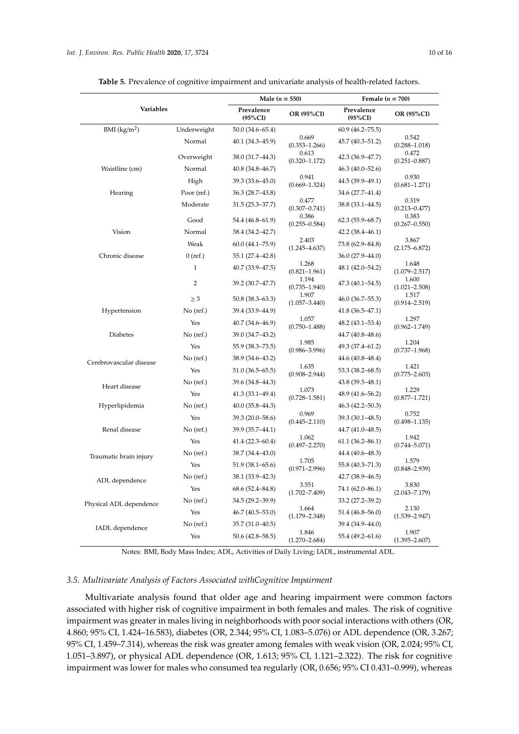<span id="page-9-0"></span>

| Variables                |                | Male $(n = 550)$         |                            | Female $(n = 700)$    |                            |
|--------------------------|----------------|--------------------------|----------------------------|-----------------------|----------------------------|
|                          |                | Prevalence<br>$(95\%CI)$ | OR (95%CI)                 | Prevalence<br>(95%CI) | OR (95%CI)                 |
| BMI (kg/m <sup>2</sup> ) | Underweight    | $50.0(34.6 - 65.4)$      |                            | $60.9(46.2 - 75.5)$   |                            |
|                          | Normal         | $40.1(34.3 - 45.9)$      | 0.669<br>$(0.353 - 1.266)$ | 45.7 (40.3-51.2)      | 0.542<br>$(0.288 - 1.018)$ |
|                          | Overweight     | 38.0 (31.7–44.3)         | 0.613<br>$(0.320 - 1.172)$ | 42.3 (36.9–47.7)      | 0.472<br>$(0.251 - 0.887)$ |
| Waistline (cm)           | Normal         | $40.8(34.8 - 46.7)$      |                            | 46.3 (40.0–52.6)      |                            |
|                          | High           | 39.3 (33.6-45.0)         | 0.941<br>$(0.669 - 1.324)$ | 44.5 (39.9-49.1)      | 0.930<br>$(0.681 - 1.271)$ |
| Hearing                  | Poor (ref.)    | 36.3 (28.7–43.8)         |                            | 34.6 (27.7–41.4)      |                            |
|                          | Moderate       | $31.5(25.3 - 37.7)$      | 0.477<br>$(0.307 - 0.741)$ | 38.8 (33.1–44.5)      | 0.319<br>$(0.213 - 0.477)$ |
|                          | Good           | 54.4 (46.8-61.9)         | 0.386<br>$(0.255 - 0.584)$ | $62.3(55.9 - 68.7)$   | 0.383<br>$(0.267 - 0.550)$ |
| Vision                   | Normal         | 38.4 (34.2–42.7)         |                            | 42.2 (38.4–46.1)      |                            |
|                          | Weak           | $60.0(44.1 - 75.9)$      | 2.403<br>$(1.245 - 4.637)$ | 73.8 (62.9–84.8)      | 3.867<br>$(2.175 - 6.872)$ |
| Chronic disease          | $0$ (ref.)     | 35.1 (27.4-42.8)         |                            | 36.0 (27.9-44.0)      |                            |
|                          | $\mathbf{1}$   | $40.7(33.9 - 47.5)$      | 1.268<br>$(0.821 - 1.961)$ | 48.1 (42.0–54.2)      | 1.648<br>$(1.079 - 2.517)$ |
|                          | $\overline{2}$ | 39.2 (30.7-47.7)         | 1.194<br>$(0.735 - 1.940)$ | 47.3 (40.1-54.5)      | 1.600<br>$(1.021 - 2.508)$ |
|                          | $\geq$ 3       | $50.8(38.3 - 63.3)$      | 1.907<br>$(1.057 - 3.440)$ | 46.0 (36.7-55.3)      | 1.517<br>$(0.914 - 2.519)$ |
| Hypertension             | $No$ (ref.)    | 39.4 (33.9-44.9)         |                            | 41.8 (36.5–47.1)      |                            |
|                          | Yes            | $40.7(34.6 - 46.9)$      | 1.057<br>$(0.750 - 1.488)$ | 48.2 (43.1–53.4)      | 1.297<br>$(0.962 - 1.749)$ |
| <b>Diabetes</b>          | $No$ (ref.)    | 39.0 (34.7–43.2)         |                            | 44.7 (40.8-48.6)      |                            |
|                          | Yes            | 55.9 (38.3-73.5)         | 1.985<br>$(0.986 - 3.996)$ | 49.3 (37.4–61.2)      | 1.204<br>$(0.737 - 1.968)$ |
| Cerebrovascular disease  | $No$ (ref.)    | 38.9 (34.6–43.2)         |                            | 44.6 (40.8–48.4)      |                            |
|                          | Yes            | $51.0(36.5 - 65.5)$      | 1.635<br>$(0.908 - 2.944)$ | 53.3 (38.2–68.5)      | 1.421<br>$(0.775 - 2.603)$ |
| Heart disease            | $No$ (ref.)    | 39.6 (34.8–44.3)         |                            | 43.8 (39.5–48.1)      |                            |
|                          | Yes            | $41.3(33.1 - 49.4)$      | 1.073<br>$(0.728 - 1.581)$ | 48.9 (41.6–56.2)      | 1.229<br>$(0.877 - 1.721)$ |
| Hyperlipidemia           | $No$ (ref.)    | $40.0(35.8-44.3)$        |                            | 46.3 (42.2–50.3)      |                            |
|                          | Yes            | 39.3 (20.0–58.6)         | 0.969<br>$(0.445 - 2.110)$ | 39.3 (30.1–48.5)      | 0.752<br>$(0.498 - 1.135)$ |
| Renal disease            | No (ref.)      | 39.9 (35.7–44.1)         |                            | 44.7 (41.0–48.5)      |                            |
|                          | Yes            | $41.4(22.3 - 60.4)$      | 1.062<br>$(0.497 - 2.270)$ | $61.1(36.2 - 86.1)$   | 1.942<br>$(0.744 - 5.071)$ |
| Traumatic brain injury   | No (ref.)      | 38.7 (34.4-43.0)         |                            | 44.4 (40.6-48.3)      |                            |
|                          | Yes            | $51.9(38.1 - 65.6)$      | 1.705<br>$(0.971 - 2.996)$ | 55.8 (40.3–71.3)      | 1.579<br>$(0.848 - 2.939)$ |
| ADL dependence           | No (ref.)      | 38.1 (33.9-42.3)         |                            | 42.7 (38.9-46.5)      |                            |
|                          | Yes            | $68.6(52.4 - 84.8)$      | 3.551<br>$(1.702 - 7.409)$ | 74.1 (62.0–86.1)      | 3.830<br>$(2.043 - 7.179)$ |
| Physical ADL dependence  | No (ref.)      | 34.5 (29.2-39.9)         |                            | 33.2 (27.2-39.2)      |                            |
|                          | Yes            | $46.7(40.5 - 53.0)$      | 1.664<br>$(1.179 - 2.348)$ | 51.4 (46.8–56.0)      | 2.130<br>$(1.539 - 2.947)$ |
| IADL dependence          | No (ref.)      | 35.7 (31.0-40.5)         |                            | 39.4 (34.9-44.0)      |                            |
|                          | Yes            | $50.6(42.8 - 58.5)$      | 1.846<br>$(1.270 - 2.684)$ | 55.4 (49.2–61.6)      | 1.907<br>$(1.395 - 2.607)$ |

**Table 5.** Prevalence of cognitive impairment and univariate analysis of health-related factors.

Notes: BMI, Body Mass Index; ADL, Activities of Daily Living; IADL, instrumental ADL.

# *3.5. Multivariate Analysis of Factors Associated withCognitive Impairment*

Multivariate analysis found that older age and hearing impairment were common factors associated with higher risk of cognitive impairment in both females and males. The risk of cognitive impairment was greater in males living in neighborhoods with poor social interactions with others (OR, 4.860; 95% CI, 1.424–16.583), diabetes (OR, 2.344; 95% CI, 1.083–5.076) or ADL dependence (OR, 3.267; 95% CI, 1.459–7.314), whereas the risk was greater among females with weak vision (OR, 2.024; 95% CI, 1.051–3.897), or physical ADL dependence (OR, 1.613; 95% CI, 1.121–2.322). The risk for cognitive impairment was lower for males who consumed tea regularly (OR, 0.656; 95% CI 0.431–0.999), whereas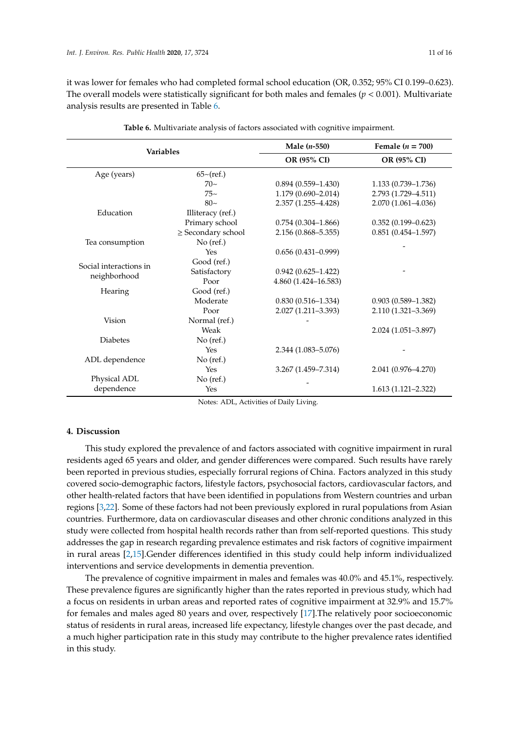it was lower for females who had completed formal school education (OR, 0.352; 95% CI 0.199–0.623). The overall models were statistically significant for both males and females ( $p < 0.001$ ). Multivariate analysis results are presented in Table [6.](#page-10-0)

<span id="page-10-0"></span>

| <b>Variables</b>       |                         | Male $(n-550)$          | Female ( $n = 700$ )   |
|------------------------|-------------------------|-------------------------|------------------------|
|                        |                         | <b>OR (95% CI)</b>      | <b>OR (95% CI)</b>     |
| Age (years)            | $65 \sim (ref.)$        |                         |                        |
|                        | $70-$                   | $0.894(0.559 - 1.430)$  | $1.133(0.739 - 1.736)$ |
|                        | $75-$                   | $1.179(0.690 - 2.014)$  | 2.793 (1.729-4.511)    |
|                        | $80-$                   | 2.357 (1.255-4.428)     | 2.070 (1.061-4.036)    |
| Education              | Illiteracy (ref.)       |                         |                        |
|                        | Primary school          | $0.754(0.304 - 1.866)$  | $0.352(0.199 - 0.623)$ |
|                        | $\geq$ Secondary school | $2.156(0.868 - 5.355)$  | $0.851(0.454 - 1.597)$ |
| Tea consumption        | $No$ (ref.)             |                         |                        |
|                        | Yes                     | $0.656(0.431-0.999)$    |                        |
| Social interactions in | Good (ref.)             |                         |                        |
| neighborhood           | Satisfactory            | $0.942(0.625 - 1.422)$  |                        |
|                        | Poor                    | $4.860(1.424 - 16.583)$ |                        |
| Good (ref.)<br>Hearing |                         |                         |                        |
|                        | Moderate                | $0.830(0.516 - 1.334)$  | $0.903(0.589 - 1.382)$ |
|                        | Poor                    | 2.027 (1.211-3.393)     | 2.110 (1.321-3.369)    |
| Vision                 | Normal (ref.)           |                         |                        |
|                        | Weak                    |                         | 2.024 (1.051-3.897)    |
| <b>Diabetes</b>        | $No$ (ref.)             |                         |                        |
|                        | Yes                     | 2.344 (1.083–5.076)     |                        |
| ADL dependence         | $No$ (ref.)             |                         |                        |
|                        | Yes                     | $3.267(1.459 - 7.314)$  | 2.041 (0.976-4.270)    |
| Physical ADL           | $No$ (ref.)             |                         |                        |
| dependence             | Yes                     |                         | $1.613(1.121 - 2.322)$ |

**Table 6.** Multivariate analysis of factors associated with cognitive impairment.

Notes: ADL, Activities of Daily Living.

# **4. Discussion**

This study explored the prevalence of and factors associated with cognitive impairment in rural residents aged 65 years and older, and gender differences were compared. Such results have rarely been reported in previous studies, especially forrural regions of China. Factors analyzed in this study covered socio-demographic factors, lifestyle factors, psychosocial factors, cardiovascular factors, and other health-related factors that have been identified in populations from Western countries and urban regions [\[3](#page-13-2)[,22\]](#page-14-13). Some of these factors had not been previously explored in rural populations from Asian countries. Furthermore, data on cardiovascular diseases and other chronic conditions analyzed in this study were collected from hospital health records rather than from self-reported questions. This study addresses the gap in research regarding prevalence estimates and risk factors of cognitive impairment in rural areas [\[2](#page-13-1)[,15\]](#page-14-6).Gender differences identified in this study could help inform individualized interventions and service developments in dementia prevention.

The prevalence of cognitive impairment in males and females was 40.0% and 45.1%, respectively. These prevalence figures are significantly higher than the rates reported in previous study, which had a focus on residents in urban areas and reported rates of cognitive impairment at 32.9% and 15.7% for females and males aged 80 years and over, respectively [\[17\]](#page-14-8).The relatively poor socioeconomic status of residents in rural areas, increased life expectancy, lifestyle changes over the past decade, and a much higher participation rate in this study may contribute to the higher prevalence rates identified in this study.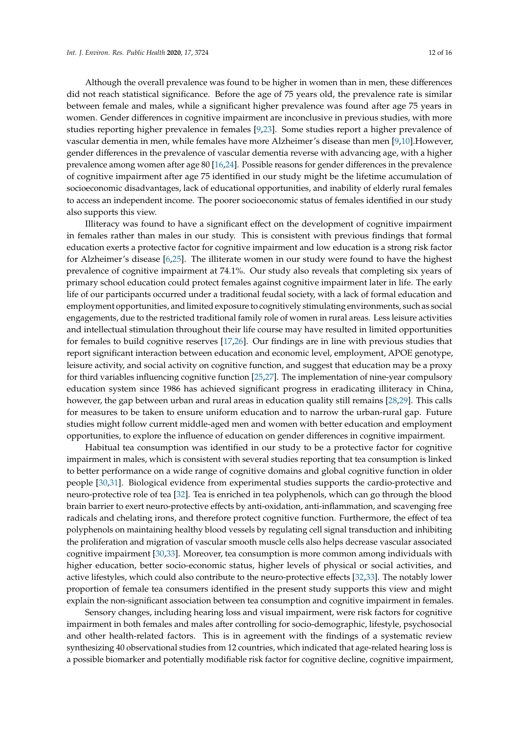Although the overall prevalence was found to be higher in women than in men, these differences did not reach statistical significance. Before the age of 75 years old, the prevalence rate is similar between female and males, while a significant higher prevalence was found after age 75 years in women. Gender differences in cognitive impairment are inconclusive in previous studies, with more studies reporting higher prevalence in females [\[9](#page-14-0)[,23\]](#page-14-14). Some studies report a higher prevalence of vascular dementia in men, while females have more Alzheimer's disease than men [\[9](#page-14-0)[,10\]](#page-14-1).However, gender differences in the prevalence of vascular dementia reverse with advancing age, with a higher prevalence among women after age 80 [\[16,](#page-14-7)[24\]](#page-14-15). Possible reasons for gender differences in the prevalence of cognitive impairment after age 75 identified in our study might be the lifetime accumulation of socioeconomic disadvantages, lack of educational opportunities, and inability of elderly rural females to access an independent income. The poorer socioeconomic status of females identified in our study also supports this view.

Illiteracy was found to have a significant effect on the development of cognitive impairment in females rather than males in our study. This is consistent with previous findings that formal education exerts a protective factor for cognitive impairment and low education is a strong risk factor for Alzheimer's disease [\[6](#page-13-5)[,25\]](#page-14-16). The illiterate women in our study were found to have the highest prevalence of cognitive impairment at 74.1%. Our study also reveals that completing six years of primary school education could protect females against cognitive impairment later in life. The early life of our participants occurred under a traditional feudal society, with a lack of formal education and employment opportunities, and limited exposure to cognitively stimulating environments, such as social engagements, due to the restricted traditional family role of women in rural areas. Less leisure activities and intellectual stimulation throughout their life course may have resulted in limited opportunities for females to build cognitive reserves [\[17](#page-14-8)[,26\]](#page-14-17). Our findings are in line with previous studies that report significant interaction between education and economic level, employment, APOE genotype, leisure activity, and social activity on cognitive function, and suggest that education may be a proxy for third variables influencing cognitive function [\[25,](#page-14-16)[27\]](#page-14-18). The implementation of nine-year compulsory education system since 1986 has achieved significant progress in eradicating illiteracy in China, however, the gap between urban and rural areas in education quality still remains [\[28,](#page-14-19)[29\]](#page-15-0). This calls for measures to be taken to ensure uniform education and to narrow the urban-rural gap. Future studies might follow current middle-aged men and women with better education and employment opportunities, to explore the influence of education on gender differences in cognitive impairment.

Habitual tea consumption was identified in our study to be a protective factor for cognitive impairment in males, which is consistent with several studies reporting that tea consumption is linked to better performance on a wide range of cognitive domains and global cognitive function in older people [\[30](#page-15-1)[,31\]](#page-15-2). Biological evidence from experimental studies supports the cardio-protective and neuro-protective role of tea [\[32\]](#page-15-3). Tea is enriched in tea polyphenols, which can go through the blood brain barrier to exert neuro-protective effects by anti-oxidation, anti-inflammation, and scavenging free radicals and chelating irons, and therefore protect cognitive function. Furthermore, the effect of tea polyphenols on maintaining healthy blood vessels by regulating cell signal transduction and inhibiting the proliferation and migration of vascular smooth muscle cells also helps decrease vascular associated cognitive impairment [\[30](#page-15-1)[,33\]](#page-15-4). Moreover, tea consumption is more common among individuals with higher education, better socio-economic status, higher levels of physical or social activities, and active lifestyles, which could also contribute to the neuro-protective effects [\[32](#page-15-3)[,33\]](#page-15-4). The notably lower proportion of female tea consumers identified in the present study supports this view and might explain the non-significant association between tea consumption and cognitive impairment in females.

Sensory changes, including hearing loss and visual impairment, were risk factors for cognitive impairment in both females and males after controlling for socio-demographic, lifestyle, psychosocial and other health-related factors. This is in agreement with the findings of a systematic review synthesizing 40 observational studies from 12 countries, which indicated that age-related hearing loss is a possible biomarker and potentially modifiable risk factor for cognitive decline, cognitive impairment,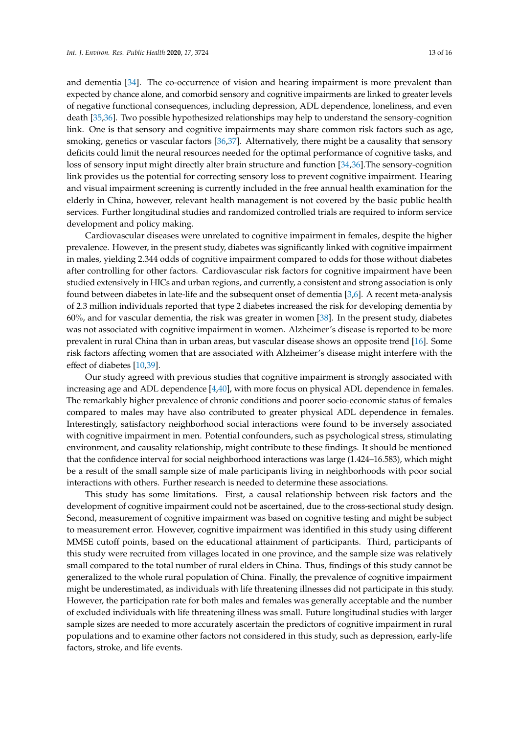and dementia [\[34\]](#page-15-5). The co-occurrence of vision and hearing impairment is more prevalent than expected by chance alone, and comorbid sensory and cognitive impairments are linked to greater levels of negative functional consequences, including depression, ADL dependence, loneliness, and even death [\[35](#page-15-6)[,36\]](#page-15-7). Two possible hypothesized relationships may help to understand the sensory-cognition link. One is that sensory and cognitive impairments may share common risk factors such as age, smoking, genetics or vascular factors [\[36,](#page-15-7)[37\]](#page-15-8). Alternatively, there might be a causality that sensory deficits could limit the neural resources needed for the optimal performance of cognitive tasks, and loss of sensory input might directly alter brain structure and function [\[34,](#page-15-5)[36\]](#page-15-7).The sensory-cognition link provides us the potential for correcting sensory loss to prevent cognitive impairment. Hearing and visual impairment screening is currently included in the free annual health examination for the elderly in China, however, relevant health management is not covered by the basic public health services. Further longitudinal studies and randomized controlled trials are required to inform service development and policy making.

Cardiovascular diseases were unrelated to cognitive impairment in females, despite the higher prevalence. However, in the present study, diabetes was significantly linked with cognitive impairment in males, yielding 2.344 odds of cognitive impairment compared to odds for those without diabetes after controlling for other factors. Cardiovascular risk factors for cognitive impairment have been studied extensively in HICs and urban regions, and currently, a consistent and strong association is only found between diabetes in late-life and the subsequent onset of dementia [\[3,](#page-13-2)[6\]](#page-13-5). A recent meta-analysis of 2.3 million individuals reported that type 2 diabetes increased the risk for developing dementia by 60%, and for vascular dementia, the risk was greater in women [\[38\]](#page-15-9). In the present study, diabetes was not associated with cognitive impairment in women. Alzheimer's disease is reported to be more prevalent in rural China than in urban areas, but vascular disease shows an opposite trend [\[16\]](#page-14-7). Some risk factors affecting women that are associated with Alzheimer's disease might interfere with the effect of diabetes [\[10](#page-14-1)[,39\]](#page-15-10).

Our study agreed with previous studies that cognitive impairment is strongly associated with increasing age and ADL dependence [\[4](#page-13-3)[,40\]](#page-15-11), with more focus on physical ADL dependence in females. The remarkably higher prevalence of chronic conditions and poorer socio-economic status of females compared to males may have also contributed to greater physical ADL dependence in females. Interestingly, satisfactory neighborhood social interactions were found to be inversely associated with cognitive impairment in men. Potential confounders, such as psychological stress, stimulating environment, and causality relationship, might contribute to these findings. It should be mentioned that the confidence interval for social neighborhood interactions was large (1.424–16.583), which might be a result of the small sample size of male participants living in neighborhoods with poor social interactions with others. Further research is needed to determine these associations.

This study has some limitations. First, a causal relationship between risk factors and the development of cognitive impairment could not be ascertained, due to the cross-sectional study design. Second, measurement of cognitive impairment was based on cognitive testing and might be subject to measurement error. However, cognitive impairment was identified in this study using different MMSE cutoff points, based on the educational attainment of participants. Third, participants of this study were recruited from villages located in one province, and the sample size was relatively small compared to the total number of rural elders in China. Thus, findings of this study cannot be generalized to the whole rural population of China. Finally, the prevalence of cognitive impairment might be underestimated, as individuals with life threatening illnesses did not participate in this study. However, the participation rate for both males and females was generally acceptable and the number of excluded individuals with life threatening illness was small. Future longitudinal studies with larger sample sizes are needed to more accurately ascertain the predictors of cognitive impairment in rural populations and to examine other factors not considered in this study, such as depression, early-life factors, stroke, and life events.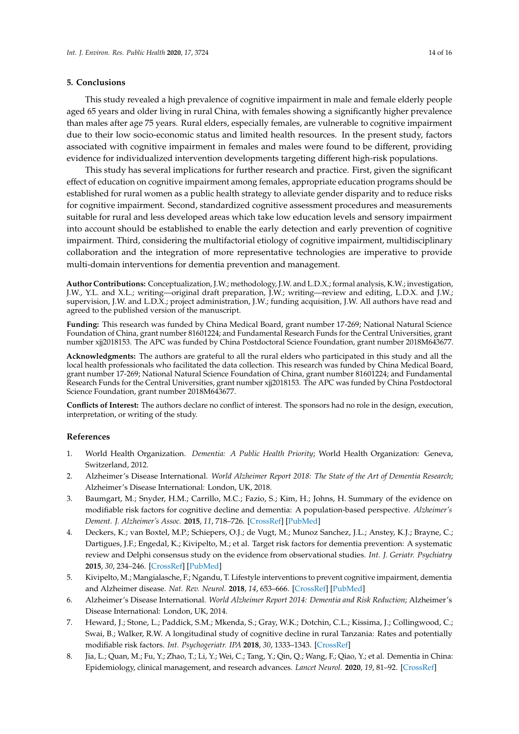#### **5. Conclusions**

This study revealed a high prevalence of cognitive impairment in male and female elderly people aged 65 years and older living in rural China, with females showing a significantly higher prevalence than males after age 75 years. Rural elders, especially females, are vulnerable to cognitive impairment due to their low socio-economic status and limited health resources. In the present study, factors associated with cognitive impairment in females and males were found to be different, providing evidence for individualized intervention developments targeting different high-risk populations.

This study has several implications for further research and practice. First, given the significant effect of education on cognitive impairment among females, appropriate education programs should be established for rural women as a public health strategy to alleviate gender disparity and to reduce risks for cognitive impairment. Second, standardized cognitive assessment procedures and measurements suitable for rural and less developed areas which take low education levels and sensory impairment into account should be established to enable the early detection and early prevention of cognitive impairment. Third, considering the multifactorial etiology of cognitive impairment, multidisciplinary collaboration and the integration of more representative technologies are imperative to provide multi-domain interventions for dementia prevention and management.

**Author Contributions:** Conceptualization, J.W.; methodology, J.W. and L.D.X.; formal analysis, K.W.; investigation, J.W., Y.L. and X.L.; writing—original draft preparation, J.W.; writing—review and editing, L.D.X. and J.W.; supervision, J.W. and L.D.X.; project administration, J.W.; funding acquisition, J.W. All authors have read and agreed to the published version of the manuscript.

**Funding:** This research was funded by China Medical Board, grant number 17-269; National Natural Science Foundation of China, grant number 81601224; and Fundamental Research Funds for the Central Universities, grant number xjj2018153. The APC was funded by China Postdoctoral Science Foundation, grant number 2018M643677.

**Acknowledgments:** The authors are grateful to all the rural elders who participated in this study and all the local health professionals who facilitated the data collection. This research was funded by China Medical Board, grant number 17-269; National Natural Science Foundation of China, grant number 81601224; and Fundamental Research Funds for the Central Universities, grant number xjj2018153. The APC was funded by China Postdoctoral Science Foundation, grant number 2018M643677.

**Conflicts of Interest:** The authors declare no conflict of interest. The sponsors had no role in the design, execution, interpretation, or writing of the study.

# **References**

- <span id="page-13-0"></span>1. World Health Organization. *Dementia: A Public Health Priority*; World Health Organization: Geneva, Switzerland, 2012.
- <span id="page-13-1"></span>2. Alzheimer's Disease International. *World Alzheimer Report 2018: The State of the Art of Dementia Research*; Alzheimer's Disease International: London, UK, 2018.
- <span id="page-13-2"></span>3. Baumgart, M.; Snyder, H.M.; Carrillo, M.C.; Fazio, S.; Kim, H.; Johns, H. Summary of the evidence on modifiable risk factors for cognitive decline and dementia: A population-based perspective. *Alzheimer's Dement. J. Alzheimer's Assoc.* **2015**, *11*, 718–726. [\[CrossRef\]](http://dx.doi.org/10.1016/j.jalz.2015.05.016) [\[PubMed\]](http://www.ncbi.nlm.nih.gov/pubmed/26045020)
- <span id="page-13-3"></span>4. Deckers, K.; van Boxtel, M.P.; Schiepers, O.J.; de Vugt, M.; Munoz Sanchez, J.L.; Anstey, K.J.; Brayne, C.; Dartigues, J.F.; Engedal, K.; Kivipelto, M.; et al. Target risk factors for dementia prevention: A systematic review and Delphi consensus study on the evidence from observational studies. *Int. J. Geriatr. Psychiatry* **2015**, *30*, 234–246. [\[CrossRef\]](http://dx.doi.org/10.1002/gps.4245) [\[PubMed\]](http://www.ncbi.nlm.nih.gov/pubmed/25504093)
- <span id="page-13-4"></span>5. Kivipelto, M.; Mangialasche, F.; Ngandu, T. Lifestyle interventions to prevent cognitive impairment, dementia and Alzheimer disease. *Nat. Rev. Neurol.* **2018**, *14*, 653–666. [\[CrossRef\]](http://dx.doi.org/10.1038/s41582-018-0070-3) [\[PubMed\]](http://www.ncbi.nlm.nih.gov/pubmed/30291317)
- <span id="page-13-5"></span>6. Alzheimer's Disease International. *World Alzheimer Report 2014: Dementia and Risk Reduction*; Alzheimer's Disease International: London, UK, 2014.
- <span id="page-13-6"></span>7. Heward, J.; Stone, L.; Paddick, S.M.; Mkenda, S.; Gray, W.K.; Dotchin, C.L.; Kissima, J.; Collingwood, C.; Swai, B.; Walker, R.W. A longitudinal study of cognitive decline in rural Tanzania: Rates and potentially modifiable risk factors. *Int. Psychogeriatr. IPA* **2018**, *30*, 1333–1343. [\[CrossRef\]](http://dx.doi.org/10.1017/S1041610217002861)
- <span id="page-13-7"></span>8. Jia, L.; Quan, M.; Fu, Y.; Zhao, T.; Li, Y.; Wei, C.; Tang, Y.; Qin, Q.; Wang, F.; Qiao, Y.; et al. Dementia in China: Epidemiology, clinical management, and research advances. *Lancet Neurol.* **2020**, *19*, 81–92. [\[CrossRef\]](http://dx.doi.org/10.1016/S1474-4422(19)30290-X)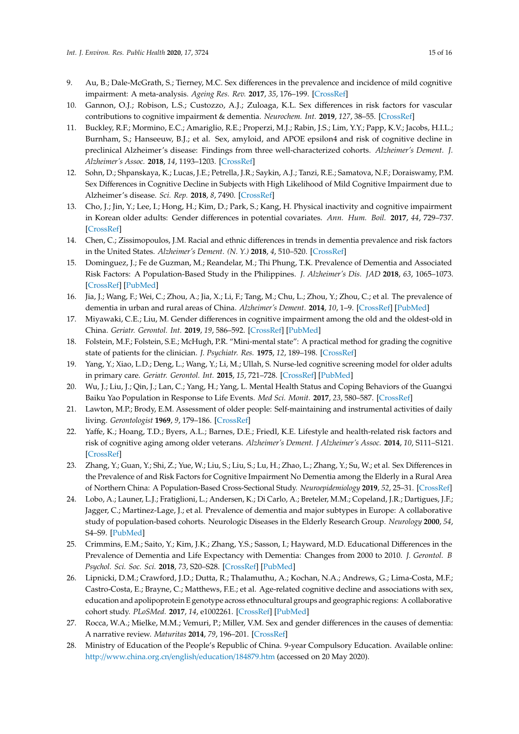- <span id="page-14-0"></span>9. Au, B.; Dale-McGrath, S.; Tierney, M.C. Sex differences in the prevalence and incidence of mild cognitive impairment: A meta-analysis. *Ageing Res. Rev.* **2017**, *35*, 176–199. [\[CrossRef\]](http://dx.doi.org/10.1016/j.arr.2016.09.005)
- <span id="page-14-1"></span>10. Gannon, O.J.; Robison, L.S.; Custozzo, A.J.; Zuloaga, K.L. Sex differences in risk factors for vascular contributions to cognitive impairment & dementia. *Neurochem. Int.* **2019**, *127*, 38–55. [\[CrossRef\]](http://dx.doi.org/10.1016/j.neuint.2018.11.014)
- <span id="page-14-2"></span>11. Buckley, R.F.; Mormino, E.C.; Amariglio, R.E.; Properzi, M.J.; Rabin, J.S.; Lim, Y.Y.; Papp, K.V.; Jacobs, H.I.L.; Burnham, S.; Hanseeuw, B.J.; et al. Sex, amyloid, and APOE epsilon4 and risk of cognitive decline in preclinical Alzheimer's disease: Findings from three well-characterized cohorts. *Alzheimer's Dement. J. Alzheimer's Assoc.* **2018**, *14*, 1193–1203. [\[CrossRef\]](http://dx.doi.org/10.1016/j.jalz.2018.04.010)
- <span id="page-14-3"></span>12. Sohn, D.; Shpanskaya, K.; Lucas, J.E.; Petrella, J.R.; Saykin, A.J.; Tanzi, R.E.; Samatova, N.F.; Doraiswamy, P.M. Sex Differences in Cognitive Decline in Subjects with High Likelihood of Mild Cognitive Impairment due to Alzheimer's disease. *Sci. Rep.* **2018**, *8*, 7490. [\[CrossRef\]](http://dx.doi.org/10.1038/s41598-018-25377-w)
- <span id="page-14-4"></span>13. Cho, J.; Jin, Y.; Lee, I.; Hong, H.; Kim, D.; Park, S.; Kang, H. Physical inactivity and cognitive impairment in Korean older adults: Gender differences in potential covariates. *Ann. Hum. Boil.* **2017**, *44*, 729–737. [\[CrossRef\]](http://dx.doi.org/10.1080/03014460.2017.1392604)
- <span id="page-14-5"></span>14. Chen, C.; Zissimopoulos, J.M. Racial and ethnic differences in trends in dementia prevalence and risk factors in the United States. *Alzheimer's Dement. (N. Y.)* **2018**, *4*, 510–520. [\[CrossRef\]](http://dx.doi.org/10.1016/j.trci.2018.08.009)
- <span id="page-14-6"></span>15. Dominguez, J.; Fe de Guzman, M.; Reandelar, M.; Thi Phung, T.K. Prevalence of Dementia and Associated Risk Factors: A Population-Based Study in the Philippines. *J. Alzheimer's Dis. JAD* **2018**, *63*, 1065–1073. [\[CrossRef\]](http://dx.doi.org/10.3233/JAD-180095) [\[PubMed\]](http://www.ncbi.nlm.nih.gov/pubmed/29710725)
- <span id="page-14-7"></span>16. Jia, J.; Wang, F.; Wei, C.; Zhou, A.; Jia, X.; Li, F.; Tang, M.; Chu, L.; Zhou, Y.; Zhou, C.; et al. The prevalence of dementia in urban and rural areas of China. *Alzheimer's Dement.* **2014**, *10*, 1–9. [\[CrossRef\]](http://dx.doi.org/10.1016/j.jalz.2013.01.012) [\[PubMed\]](http://www.ncbi.nlm.nih.gov/pubmed/23871765)
- <span id="page-14-8"></span>17. Miyawaki, C.E.; Liu, M. Gender differences in cognitive impairment among the old and the oldest-old in China. *Geriatr. Gerontol. Int.* **2019**, *19*, 586–592. [\[CrossRef\]](http://dx.doi.org/10.1111/ggi.13666) [\[PubMed\]](http://www.ncbi.nlm.nih.gov/pubmed/30957346)
- <span id="page-14-9"></span>18. Folstein, M.F.; Folstein, S.E.; McHugh, P.R. "Mini-mental state": A practical method for grading the cognitive state of patients for the clinician. *J. Psychiatr. Res.* **1975**, *12*, 189–198. [\[CrossRef\]](http://dx.doi.org/10.1016/0022-3956(75)90026-6)
- <span id="page-14-10"></span>19. Yang, Y.; Xiao, L.D.; Deng, L.; Wang, Y.; Li, M.; Ullah, S. Nurse-led cognitive screening model for older adults in primary care. *Geriatr. Gerontol. Int.* **2015**, *15*, 721–728. [\[CrossRef\]](http://dx.doi.org/10.1111/ggi.12339) [\[PubMed\]](http://www.ncbi.nlm.nih.gov/pubmed/25257051)
- <span id="page-14-11"></span>20. Wu, J.; Liu, J.; Qin, J.; Lan, C.; Yang, H.; Yang, L. Mental Health Status and Coping Behaviors of the Guangxi Baiku Yao Population in Response to Life Events. *Med Sci. Monit.* **2017**, *23*, 580–587. [\[CrossRef\]](http://dx.doi.org/10.12659/MSM.899627)
- <span id="page-14-12"></span>21. Lawton, M.P.; Brody, E.M. Assessment of older people: Self-maintaining and instrumental activities of daily living. *Gerontologist* **1969**, *9*, 179–186. [\[CrossRef\]](http://dx.doi.org/10.1093/geront/9.3_Part_1.179)
- <span id="page-14-13"></span>22. Yaffe, K.; Hoang, T.D.; Byers, A.L.; Barnes, D.E.; Friedl, K.E. Lifestyle and health-related risk factors and risk of cognitive aging among older veterans. *Alzheimer's Dement. J Alzheimer's Assoc.* **2014**, *10*, S111–S121. [\[CrossRef\]](http://dx.doi.org/10.1016/j.jalz.2014.04.010)
- <span id="page-14-14"></span>23. Zhang, Y.; Guan, Y.; Shi, Z.; Yue, W.; Liu, S.; Liu, S.; Lu, H.; Zhao, L.; Zhang, Y.; Su, W.; et al. Sex Differences in the Prevalence of and Risk Factors for Cognitive Impairment No Dementia among the Elderly in a Rural Area of Northern China: A Population-Based Cross-Sectional Study. *Neuroepidemiology* **2019**, *52*, 25–31. [\[CrossRef\]](http://dx.doi.org/10.1159/000493141)
- <span id="page-14-15"></span>24. Lobo, A.; Launer, L.J.; Fratiglioni, L.; Andersen, K.; Di Carlo, A.; Breteler, M.M.; Copeland, J.R.; Dartigues, J.F.; Jagger, C.; Martinez-Lage, J.; et al. Prevalence of dementia and major subtypes in Europe: A collaborative study of population-based cohorts. Neurologic Diseases in the Elderly Research Group. *Neurology* **2000**, *54*, S4–S9. [\[PubMed\]](http://www.ncbi.nlm.nih.gov/pubmed/10854354)
- <span id="page-14-16"></span>25. Crimmins, E.M.; Saito, Y.; Kim, J.K.; Zhang, Y.S.; Sasson, I.; Hayward, M.D. Educational Differences in the Prevalence of Dementia and Life Expectancy with Dementia: Changes from 2000 to 2010. *J. Gerontol. B Psychol. Sci. Soc. Sci.* **2018**, *73*, S20–S28. [\[CrossRef\]](http://dx.doi.org/10.1093/geronb/gbx135) [\[PubMed\]](http://www.ncbi.nlm.nih.gov/pubmed/29669097)
- <span id="page-14-17"></span>26. Lipnicki, D.M.; Crawford, J.D.; Dutta, R.; Thalamuthu, A.; Kochan, N.A.; Andrews, G.; Lima-Costa, M.F.; Castro-Costa, E.; Brayne, C.; Matthews, F.E.; et al. Age-related cognitive decline and associations with sex, education and apolipoprotein E genotype across ethnocultural groups and geographic regions: A collaborative cohort study. *PLoSMed.* **2017**, *14*, e1002261. [\[CrossRef\]](http://dx.doi.org/10.1371/journal.pmed.1002261) [\[PubMed\]](http://www.ncbi.nlm.nih.gov/pubmed/28323832)
- <span id="page-14-18"></span>27. Rocca, W.A.; Mielke, M.M.; Vemuri, P.; Miller, V.M. Sex and gender differences in the causes of dementia: A narrative review. *Maturitas* **2014**, *79*, 196–201. [\[CrossRef\]](http://dx.doi.org/10.1016/j.maturitas.2014.05.008)
- <span id="page-14-19"></span>28. Ministry of Education of the People's Republic of China. 9-year Compulsory Education. Available online: http://[www.china.org.cn](http://www.china.org.cn/english/education/184879.htm)/english/education/184879.htm (accessed on 20 May 2020).